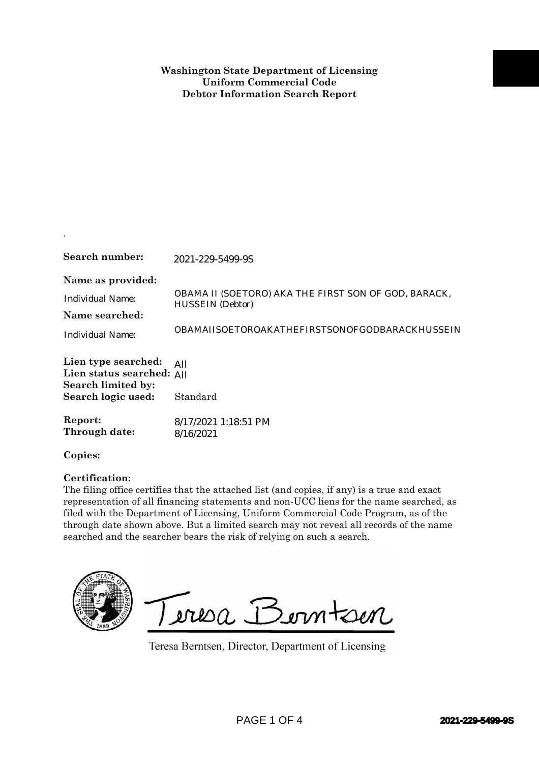## **Washington State Department of Licensing Uniform Commercial Code Debtor Information Search Report**

| Search number:                                                                               | 2021-229-5499-9S                                                                                                                                                                                                                                                                                                                                                                                                                              |
|----------------------------------------------------------------------------------------------|-----------------------------------------------------------------------------------------------------------------------------------------------------------------------------------------------------------------------------------------------------------------------------------------------------------------------------------------------------------------------------------------------------------------------------------------------|
| Name as provided:<br><b>Individual Name:</b><br>Name searched:<br><b>Individual Name:</b>    | OBAMA II (SOETORO) AKA THE FIRST SON OF GOD, BARACK,<br><b>HUSSEIN</b> (Debtor)<br>OBAMAIISOETOROAKATHEFIRSTSONOFGODBARACKHUSSEIN                                                                                                                                                                                                                                                                                                             |
| Lien type searched:<br>Lien status searched: All<br>Search limited by:<br>Search logic used: | All<br>Standard                                                                                                                                                                                                                                                                                                                                                                                                                               |
| Report:<br>Through date:                                                                     | 8/17/2021 1:18:51 PM<br>8/16/2021                                                                                                                                                                                                                                                                                                                                                                                                             |
| Copies:                                                                                      |                                                                                                                                                                                                                                                                                                                                                                                                                                               |
| Certification:                                                                               | The filing office certifies that the attached list (and copies, if any) is a true and exact<br>representation of all financing statements and non-UCC liens for the name searched, as<br>filed with the Department of Licensing, Uniform Commercial Code Program, as of the<br>through date shown above. But a limited search may not reveal all records of the name<br>searched and the searcher bears the risk of relying on such a search. |
|                                                                                              | Teresa Berntsen<br>Teresa Berntsen, Director, Department of Licensing                                                                                                                                                                                                                                                                                                                                                                         |
|                                                                                              | PAGE 1 OF 4<br>2021-229-5499-9S                                                                                                                                                                                                                                                                                                                                                                                                               |

.

## **Certification:**

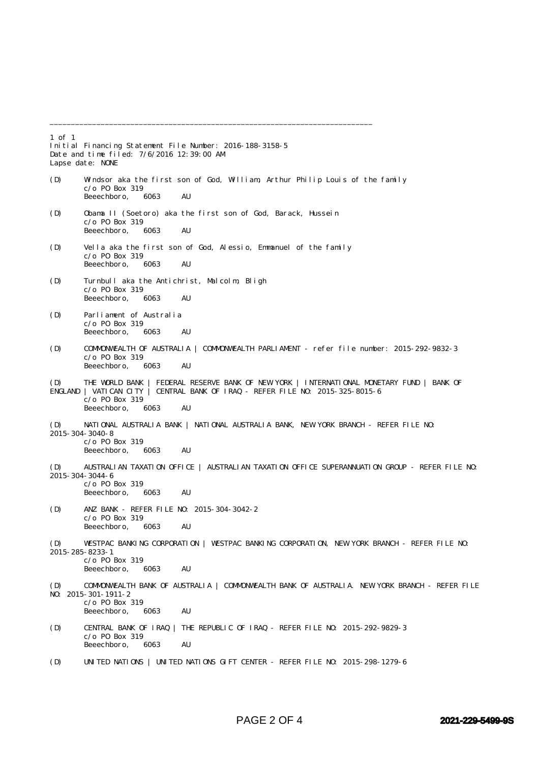1 of 1 Initial Financing Statement File Number: 2016-188-3158-5 Date and time filed: 7/6/2016 12:39:00 AM Lapse date: NONE (D) Windsor aka the first son of God, William, Arthur Philip Louis of the family  $c$ /o P0 Box 319<br>Beeechboro. 6063 Beeechboro, 6063 AU (D) Obama II (Soetoro) aka the first son of God, Barack, Hussein c/o PO Box 319 Beeechboro, 6063 AU (D) Vella aka the first son of God, Alessio, Emmanuel of the family  $c$ /o PO Box 319<br>Beeechboro. 6063 Beeechboro, 6063 AU (D) Turnbull aka the Antichrist, Malcolm, Bligh c/o PO Box 319 Beeechboro, 6063 AU (D) Parliament of Australia  $c$ /o PO Box 319<br>Beeechboro 6063 Beeechboro, 6063 AU (D) COMMONWEALTH OF AUSTRALIA | COMMONWEALTH PARLIAMENT - refer file number: 2015-292-9832-3 c/o PO Box 319 Beeechboro, 6063 AU (D) THE WORLD BANK | FEDERAL RESERVE BANK OF NEW YORK | INTERNATIONAL MONETARY FUND | BANK OF ENGLAND | VATICAN CITY | CENTRAL BANK OF IRAQ - REFER FILE NO: 2015-325-8015-6  $c$ /o PO Box 319<br>Beeechboro 6063 Beeechboro, 6063 AU (D) NATIONAL AUSTRALIA BANK | NATIONAL AUSTRALIA BANK, NEW YORK BRANCH - REFER FILE NO: 2015-304-3040-8 c/o PO Box 319 Beeechboro, 6063 AU (D) AUSTRALIAN TAXATION OFFICE | AUSTRALIAN TAXATION OFFICE SUPERANNUATION GROUP - REFER FILE NO: 2015-304-3044-6  $c$ /o PO Box 319 Beeechboro, 6063 AU (D) ANZ BANK - REFER FILE NO: 2015-304-3042-2 c/o PO Box 319 Beeechboro, 6063 AU (D) WESTPAC BANKING CORPORATION | WESTPAC BANKING CORPORATION, NEW YORK BRANCH - REFER FILE NO: 2015-285-8233-1 c/o PO Box 319 Beeechboro, 6063 AU (D) COMMONWEALTH BANK OF AUSTRALIA | COMMONWEALTH BANK OF AUSTRALIA. NEW YORK BRANCH - REFER FILE NO: 2015-301-1911-2  $c$ /o P0 Box 319<br>Beeechboro, 6063 Beeechboro, 6063 AU (D) CENTRAL BANK OF IRAQ | THE REPUBLIC OF IRAQ - REFER FILE NO: 2015-292-9829-3 c/o PO Box 319 Beeechboro, 6063 AU (D) UNITED NATIONS | UNITED NATIONS GIFT CENTER - REFER FILE NO: 2015-298-1279-6

\_\_\_\_\_\_\_\_\_\_\_\_\_\_\_\_\_\_\_\_\_\_\_\_\_\_\_\_\_\_\_\_\_\_\_\_\_\_\_\_\_\_\_\_\_\_\_\_\_\_\_\_\_\_\_\_\_\_\_\_\_\_\_\_\_\_\_\_\_\_\_\_\_\_\_\_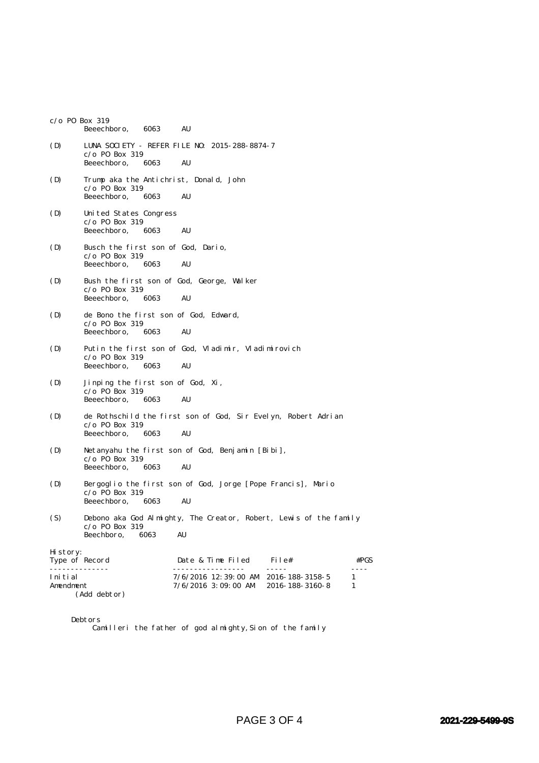|                           | $c$ /o P0 Box 319<br>Beeechboro,<br>6063<br>AU                                                                      |
|---------------------------|---------------------------------------------------------------------------------------------------------------------|
| (D)                       | LUNA SOCIETY - REFER FILE NO: 2015-288-8874-7<br>$c$ /o P0 Box 319<br>Beeechboro,<br>6063<br>AU                     |
| (D)                       | Trump aka the Antichrist, Donald, John<br>$c/o$ PO Box 319<br>Beeechboro,<br>6063<br>AU                             |
| (D)                       | United States Congress<br>$c/o$ PO Box 319<br>Beeechboro,<br>AU<br>6063                                             |
| (D)                       | Busch the first son of God, Dario,<br>$c$ /o P0 Box 319<br>Beeechboro,<br>AU<br>6063                                |
| (D)                       | Bush the first son of God, George, Walker<br>$c$ /o P0 Box 319<br>Beeechboro,<br>AU<br>6063                         |
| (D)                       | de Bono the first son of God, Edward,<br>$c/o$ PO Box 319<br>Beeechboro,<br>6063<br>AU                              |
| (D)                       | Putin the first son of God, Vladimir, Vladimirovich<br>$c/o$ PO Box 319<br>Beeechboro,<br>AU<br>6063                |
| (D)                       | Jinping the first son of God, Xi,<br>$c/o$ PO Box 319<br>AU<br>Beeechboro,<br>6063                                  |
| (D)                       | de Rothschild the first son of God, Sir Evelyn, Robert Adrian<br>$c/o$ PO Box 319<br>Beeechboro,<br>6063<br>AU      |
| (D)                       | Netanyahu the first son of God, Benjamin [Bibi],<br>$c$ /o P0 Box 319<br>Beeechboro,<br>6063<br>AU                  |
| (D)                       | Bergoglio the first son of God, Jorge [Pope Francis], Mario<br>$c/o$ PO Box 319<br>Beeechboro,<br>6063<br>AU        |
| (S)                       | Debono aka God Almighty, The Creator, Robert, Lewis of the family<br>$c/o$ PO Box 319<br>Beechboro,<br>AU<br>6063   |
| Hi story:                 | Type of Record<br>Date & Time Filed<br>File#<br>#PGS                                                                |
| .<br>Initial<br>Amendment | -----<br>7/6/2016 12:39:00 AM 2016-188-3158-5<br>1<br>$7/6/2016$ 3:09:00 AM<br>2016-188-3160-8<br>1<br>(Add debtor) |

Debtors

Camilleri the father of god almighty, Sion of the family